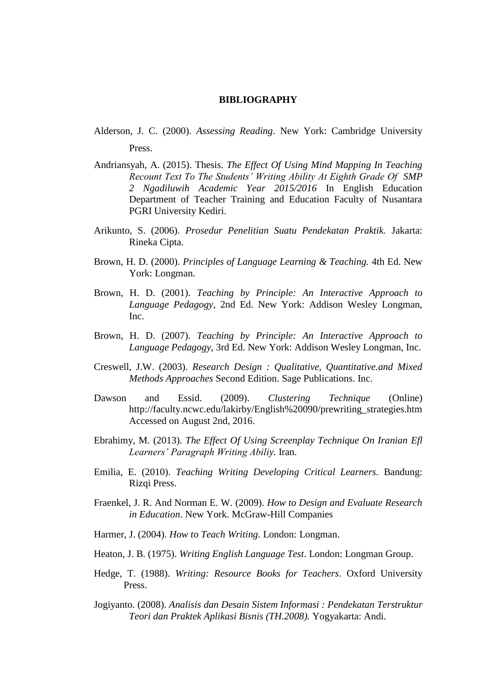## **BIBLIOGRAPHY**

- Alderson, J. C. (2000). *Assessing Reading*. New York: Cambridge University Press.
- Andriansyah, A. (2015). Thesis. *The Effect Of Using Mind Mapping In Teaching Recount Text To The Students' Writing Ability At Eighth Grade Of SMP 2 Ngadiluwih Academic Year 2015/2016* In English Education Department of Teacher Training and Education Faculty of Nusantara PGRI University Kediri.
- Arikunto, S. (2006). *Prosedur Penelitian Suatu Pendekatan Praktik.* Jakarta: Rineka Cipta.
- Brown, H. D. (2000). *Principles of Language Learning & Teaching.* 4th Ed. New York: Longman.
- Brown, H. D. (2001). *Teaching by Principle: An Interactive Approach to Language Pedagogy,* 2nd Ed. New York: Addison Wesley Longman, Inc.
- Brown, H. D. (2007). *Teaching by Principle: An Interactive Approach to Language Pedagogy,* 3rd Ed. New York: Addison Wesley Longman, Inc.
- Creswell, J.W. (2003). *Research Design : Qualitative, Quantitative.and Mixed Methods Approaches* Second Edition. Sage Publications. Inc.
- Dawson and Essid. (2009). *Clustering Technique* (Online) http://faculty.ncwc.edu/lakirby/English%20090/prewriting\_strategies.htm Accessed on August 2nd, 2016.
- Ebrahimy, M. (2013). *The Effect Of Using Screenplay Technique On Iranian Efl Learners' Paragraph Writing Abiliy.* Iran.
- Emilia, E. (2010). *Teaching Writing Developing Critical Learners.* Bandung: Rizqi Press.
- Fraenkel, J. R. And Norman E. W. (2009). *How to Design and Evaluate Research in Education*. New York. McGraw-Hill Companies
- Harmer, J. (2004). *How to Teach Writing.* London: Longman.
- Heaton, J. B. (1975). *Writing English Language Test*. London: Longman Group.
- Hedge, T. (1988). *Writing: Resource Books for Teachers*. Oxford University Press.
- Jogiyanto. (2008). *Analisis dan Desain Sistem Informasi : Pendekatan Terstruktur Teori dan Praktek Aplikasi Bisnis (TH.2008).* Yogyakarta: Andi.